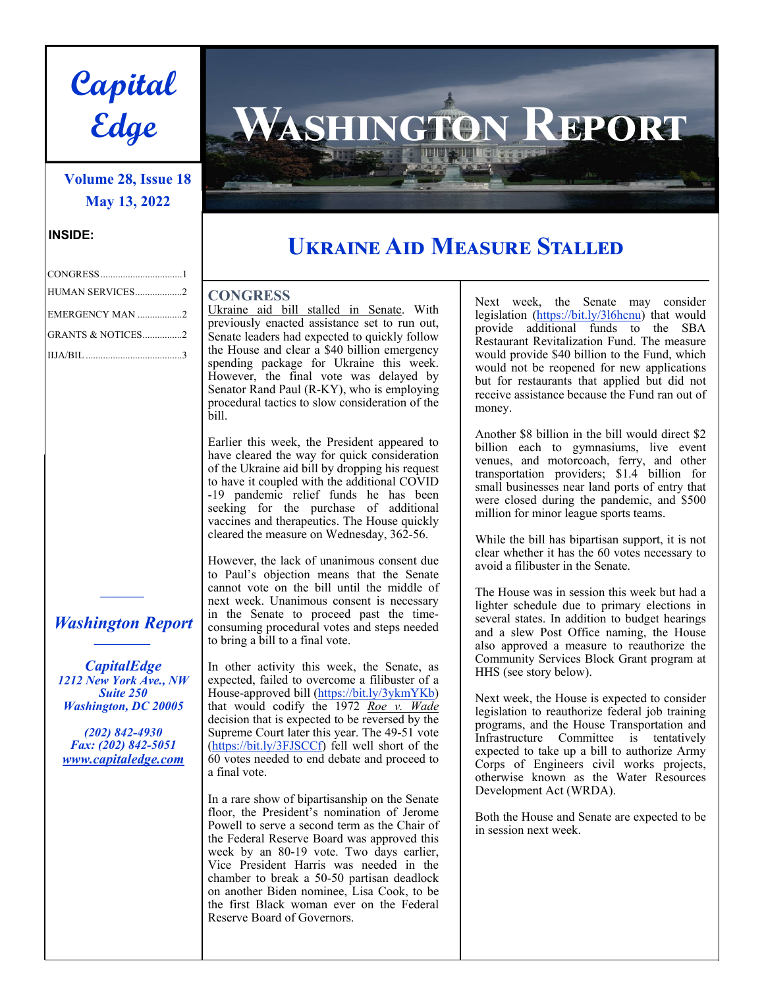

# **Volume 28, Issue 18 May 13, 2022**

### **INSIDE:**

| HUMAN SERVICES2   |  |
|-------------------|--|
| EMERGENCY MAN 2   |  |
| GRANTS & NOTICES2 |  |
|                   |  |

## *Washington Report \_\_\_\_\_\_\_\_\_*

*\_\_\_\_\_\_\_* 

*CapitalEdge 1212 New York Ave., NW Suite 250 Washington, DC 20005* 

*(202) 842-4930 Fax: (202) 842-5051 www.capitaledge.com* 

# $NGTON$  REPORT

# **Uඋൺංඇൾ Aංൽ Mൾൺඌඎඋൾ Sඍൺඅඅൾൽ**

### **CONGRESS**

Ukraine aid bill stalled in Senate. With previously enacted assistance set to run out, Senate leaders had expected to quickly follow the House and clear a \$40 billion emergency spending package for Ukraine this week. However, the final vote was delayed by Senator Rand Paul (R-KY), who is employing procedural tactics to slow consideration of the bill.

Earlier this week, the President appeared to have cleared the way for quick consideration of the Ukraine aid bill by dropping his request to have it coupled with the additional COVID -19 pandemic relief funds he has been seeking for the purchase of additional vaccines and therapeutics. The House quickly cleared the measure on Wednesday, 362-56.

However, the lack of unanimous consent due to Paul's objection means that the Senate cannot vote on the bill until the middle of next week. Unanimous consent is necessary in the Senate to proceed past the timeconsuming procedural votes and steps needed to bring a bill to a final vote.

In other activity this week, the Senate, as expected, failed to overcome a filibuster of a House-approved bill (https://bit.ly/3ykmYKb) that would codify the 1972 *Roe v. Wade* decision that is expected to be reversed by the Supreme Court later this year. The 49-51 vote (https://bit.ly/3FJSCCf) fell well short of the 60 votes needed to end debate and proceed to a final vote.

In a rare show of bipartisanship on the Senate floor, the President's nomination of Jerome Powell to serve a second term as the Chair of the Federal Reserve Board was approved this week by an 80-19 vote. Two days earlier, Vice President Harris was needed in the chamber to break a 50-50 partisan deadlock on another Biden nominee, Lisa Cook, to be the first Black woman ever on the Federal Reserve Board of Governors.

Next week, the Senate may consider legislation (https://bit.ly/3l6hcnu) that would provide additional funds to the SBA Restaurant Revitalization Fund. The measure would provide \$40 billion to the Fund, which would not be reopened for new applications but for restaurants that applied but did not receive assistance because the Fund ran out of money.

Another \$8 billion in the bill would direct \$2 billion each to gymnasiums, live event venues, and motorcoach, ferry, and other transportation providers; \$1.4 billion for small businesses near land ports of entry that were closed during the pandemic, and \$500 million for minor league sports teams.

While the bill has bipartisan support, it is not clear whether it has the 60 votes necessary to avoid a filibuster in the Senate.

The House was in session this week but had a lighter schedule due to primary elections in several states. In addition to budget hearings and a slew Post Office naming, the House also approved a measure to reauthorize the Community Services Block Grant program at HHS (see story below).

Next week, the House is expected to consider legislation to reauthorize federal job training programs, and the House Transportation and Infrastructure Committee is tentatively expected to take up a bill to authorize Army Corps of Engineers civil works projects, otherwise known as the Water Resources Development Act (WRDA).

Both the House and Senate are expected to be in session next week.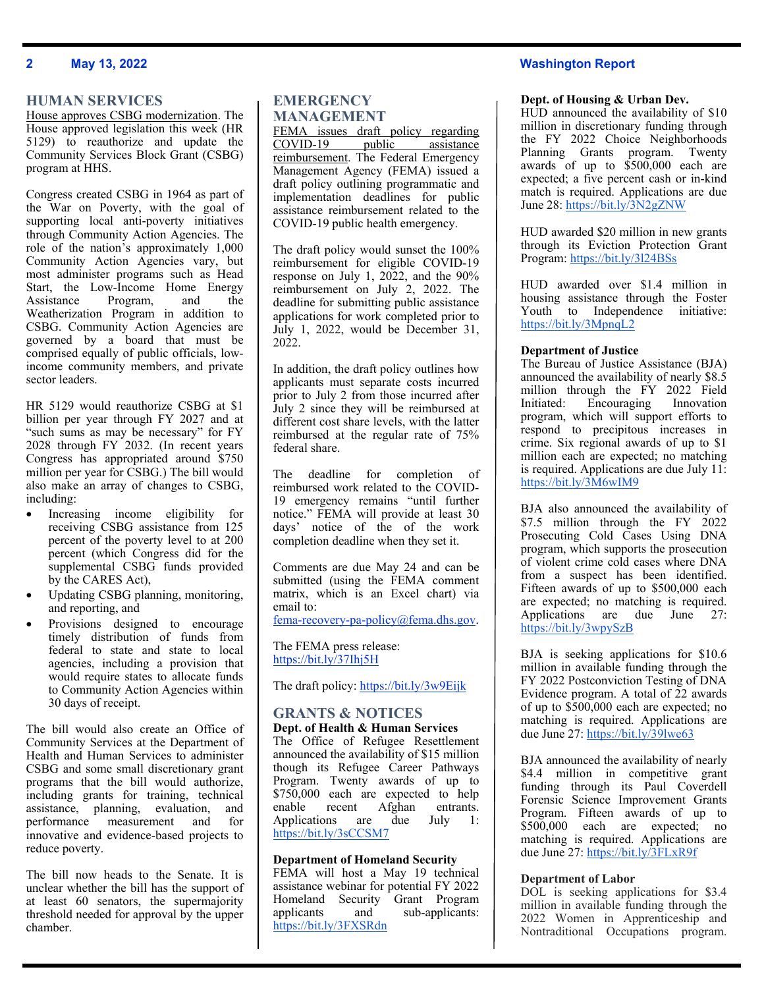### **2 May 13, 2022 Washington Report**

### **HUMAN SERVICES**

House approves CSBG modernization. The House approved legislation this week (HR 5129) to reauthorize and update the Community Services Block Grant (CSBG) program at HHS.

Congress created CSBG in 1964 as part of the War on Poverty, with the goal of supporting local anti-poverty initiatives through Community Action Agencies. The role of the nation's approximately 1,000 Community Action Agencies vary, but most administer programs such as Head Start, the Low-Income Home Energy Assistance Program, and the Weatherization Program in addition to CSBG. Community Action Agencies are governed by a board that must be comprised equally of public officials, lowincome community members, and private sector leaders.

HR 5129 would reauthorize CSBG at \$1 billion per year through FY 2027 and at "such sums as may be necessary" for FY 2028 through FY 2032. (In recent years Congress has appropriated around \$750 million per year for CSBG.) The bill would also make an array of changes to CSBG, including:

- Increasing income eligibility for receiving CSBG assistance from 125 percent of the poverty level to at 200 percent (which Congress did for the supplemental CSBG funds provided by the CARES Act),
- Updating CSBG planning, monitoring, and reporting, and
- Provisions designed to encourage timely distribution of funds from federal to state and state to local agencies, including a provision that would require states to allocate funds to Community Action Agencies within 30 days of receipt.

The bill would also create an Office of Community Services at the Department of Health and Human Services to administer CSBG and some small discretionary grant programs that the bill would authorize, including grants for training, technical assistance, planning, evaluation, and performance measurement and for innovative and evidence-based projects to reduce poverty.

The bill now heads to the Senate. It is unclear whether the bill has the support of at least 60 senators, the supermajority threshold needed for approval by the upper chamber.

### **EMERGENCY MANAGEMENT**

FEMA issues draft policy regarding COVID-19 public assistance reimbursement. The Federal Emergency Management Agency (FEMA) issued a draft policy outlining programmatic and implementation deadlines for public assistance reimbursement related to the COVID-19 public health emergency.

The draft policy would sunset the 100% reimbursement for eligible COVID-19 response on July 1, 2022, and the 90% reimbursement on July 2, 2022. The deadline for submitting public assistance applications for work completed prior to July 1, 2022, would be December 31, 2022.

In addition, the draft policy outlines how applicants must separate costs incurred prior to July 2 from those incurred after July 2 since they will be reimbursed at different cost share levels, with the latter reimbursed at the regular rate of 75% federal share.

The deadline for completion of reimbursed work related to the COVID-19 emergency remains "until further notice." FEMA will provide at least 30 days' notice of the of the work completion deadline when they set it.

Comments are due May 24 and can be submitted (using the FEMA comment matrix, which is an Excel chart) via email to:

fema-recovery-pa-policy@fema.dhs.gov.

The FEMA press release: https://bit.ly/37Ihj5H

The draft policy: https://bit.ly/3w9Eijk

### **GRANTS & NOTICES Dept. of Health & Human Services**

The Office of Refugee Resettlement announced the availability of \$15 million though its Refugee Career Pathways Program. Twenty awards of up to \$750,000 each are expected to help enable recent Afghan entrants. Applications are due July 1: https://bit.ly/3sCCSM7

### **Department of Homeland Security**

FEMA will host a May 19 technical assistance webinar for potential FY 2022 Homeland Security Grant Program applicants and sub-applicants: https://bit.ly/3FXSRdn

### **Dept. of Housing & Urban Dev.**

HUD announced the availability of \$10 million in discretionary funding through the FY 2022 Choice Neighborhoods Planning Grants program. Twenty awards of up to \$500,000 each are expected; a five percent cash or in-kind match is required. Applications are due June 28: https://bit.ly/3N2gZNW

HUD awarded \$20 million in new grants through its Eviction Protection Grant Program: https://bit.ly/3l24BSs

HUD awarded over \$1.4 million in housing assistance through the Foster Youth to Independence initiative: https://bit.ly/3MpnqL2

### **Department of Justice**

The Bureau of Justice Assistance (BJA) announced the availability of nearly \$8.5 million through the FY 2022 Field Initiated: Encouraging Innovation program, which will support efforts to respond to precipitous increases in crime. Six regional awards of up to \$1 million each are expected; no matching is required. Applications are due July 11: https://bit.ly/3M6wIM9

BJA also announced the availability of \$7.5 million through the FY 2022 Prosecuting Cold Cases Using DNA program, which supports the prosecution of violent crime cold cases where DNA from a suspect has been identified. Fifteen awards of up to \$500,000 each are expected; no matching is required. Applications are due June 27: https://bit.ly/3wpySzB

BJA is seeking applications for \$10.6 million in available funding through the FY 2022 Postconviction Testing of DNA Evidence program. A total of 22 awards of up to \$500,000 each are expected; no matching is required. Applications are due June 27: https://bit.ly/39lwe63

BJA announced the availability of nearly \$4.4 million in competitive grant funding through its Paul Coverdell Forensic Science Improvement Grants Program. Fifteen awards of up to \$500,000 each are expected; no matching is required. Applications are due June 27: https://bit.ly/3FLxR9f

### **Department of Labor**

DOL is seeking applications for \$3.4 million in available funding through the 2022 Women in Apprenticeship and Nontraditional Occupations program.